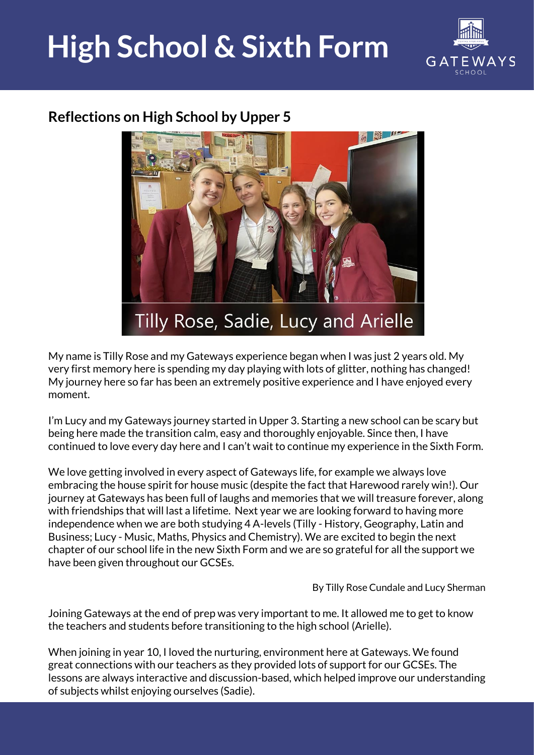## **High School & Sixth Form**



## **Reflections on High School by Upper 5**



My name is Tilly Rose and my Gateways experience began when I was just 2 years old. My very first memory here is spending my day playing with lots of glitter, nothing has changed! My journey here so far has been an extremely positive experience and I have enjoyed every moment.

I'm Lucy and my Gateways journey started in Upper 3. Starting a new school can be scary but being here made the transition calm, easy and thoroughly enjoyable. Since then, I have continued to love every day here and I can't wait to continue my experience in the Sixth Form.

We love getting involved in every aspect of Gateways life, for example we always love embracing the house spirit for house music (despite the fact that Harewood rarely win!). Our journey at Gateways has been full of laughs and memories that we will treasure forever, along with friendships that will last a lifetime. Next year we are looking forward to having more independence when we are both studying 4 A-levels (Tilly - History, Geography, Latin and Business; Lucy - Music, Maths, Physics and Chemistry). We are excited to begin the next chapter of our school life in the new Sixth Form and we are so grateful for all the support we have been given throughout our GCSEs.

By Tilly Rose Cundale and Lucy Sherman

Joining Gateways at the end of prep was very important to me. It allowed me to get to know the teachers and students before transitioning to the high school (Arielle).

When joining in year 10, I loved the nurturing, environment here at Gateways. We found great connections with our teachers as they provided lots of support for our GCSEs. The lessons are always interactive and discussion-based, which helped improve our understanding of subjects whilst enjoying ourselves (Sadie).